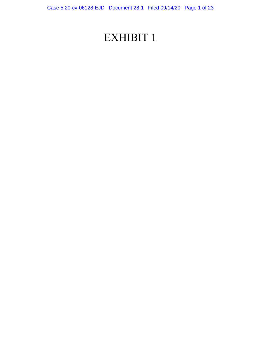# EXHIBIT 1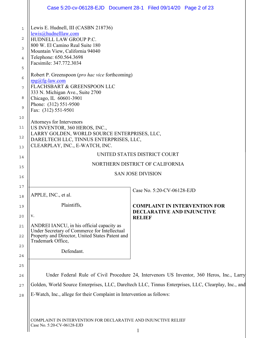|                   |                                                                                                     | Case 5:20-cv-06128-EJD  Document 28-1  Filed 09/14/20  Page 2 of 23 |
|-------------------|-----------------------------------------------------------------------------------------------------|---------------------------------------------------------------------|
| $\mathbf{1}$<br>2 | Lewis E. Hudnell, III (CASBN 218736)<br>lewis@hudnelllaw.com<br>HUDNELL LAW GROUP P.C.              |                                                                     |
| 3                 | 800 W. El Camino Real Suite 180                                                                     |                                                                     |
| $\overline{4}$    | Mountain View, California 94040<br>Telephone: 650.564.3698<br>Facsimile: 347.772.3034               |                                                                     |
| 5                 |                                                                                                     |                                                                     |
| 6                 | Robert P. Greenspoon ( <i>pro hac vice</i> forthcoming)<br>$rpg(a)fg-law.com$                       |                                                                     |
| 7                 | FLACHSBART & GREENSPOON LLC<br>333 N. Michigan Ave., Suite 2700                                     |                                                                     |
| 8                 | Chicago, IL 60601-3901<br>Phone: (312) 551-9500                                                     |                                                                     |
| 9                 | Fax: (312) 551-9501                                                                                 |                                                                     |
| 10<br>11          | Attorneys for Intervenors<br>US INVENTOR, 360 HEROS, INC.,                                          |                                                                     |
| 12                | LARRY GOLDEN, WORLD SOURCE ENTERPRISES, LLC,                                                        |                                                                     |
| 13                | DARELTECH LLC, TINNUS ENTERPRISES, LLC,<br>CLEARPLAY, INC., E-WATCH, INC.                           |                                                                     |
| 14                | UNITED STATES DISTRICT COURT                                                                        |                                                                     |
| 15                | NORTHERN DISTRICT OF CALIFORNIA                                                                     |                                                                     |
| 16                | <b>SAN JOSE DIVISION</b>                                                                            |                                                                     |
| 17                |                                                                                                     |                                                                     |
| 18                | APPLE, INC., et al.                                                                                 | Case No. 5:20-CV-06128-EJD                                          |
| 19                | Plaintiffs,                                                                                         | <b>COMPLAINT IN INTERVENTION FOR</b>                                |
| 20                | V.                                                                                                  | <b>DECLARATIVE AND INJUNCTIVE</b><br><b>RELIEF</b>                  |
| 21                | ANDREI IANCU, in his official capacity as<br>Under Secretary of Commerce for Intellectual           |                                                                     |
| 22                | Property and Director, United States Patent and<br>Trademark Office,                                |                                                                     |
| 23                | Defendant.                                                                                          |                                                                     |
| 24<br>25          |                                                                                                     |                                                                     |
| 26                | Under Federal Rule of Civil Procedure 24, Intervenors US Inventor, 360 Heros, Inc., Larry           |                                                                     |
| 27                | Golden, World Source Enterprises, LLC, Dareltech LLC, Tinnus Enterprises, LLC, Clearplay, Inc., and |                                                                     |
| 28                | E-Watch, Inc., allege for their Complaint in Intervention as follows:                               |                                                                     |
|                   |                                                                                                     |                                                                     |
|                   | COMPLAINT IN INTERVENTION FOR DECLARATIVE AND INJUNCTIVE RELIEF<br>Case No. 5:20-CV-06128-EJD       |                                                                     |

 $\parallel$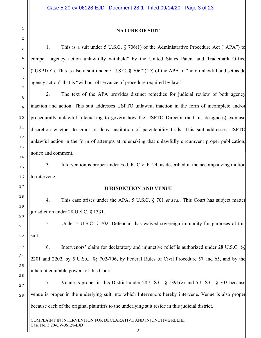#### **NATURE OF SUIT**

1. This is a suit under 5 U.S.C. § 706(1) of the Administrative Procedure Act ("APA") to compel "agency action unlawfully withheld" by the United States Patent and Trademark Office ("USPTO"). This is also a suit under 5 U.S.C.  $\S$  706(2)(D) of the APA to "hold unlawful and set aside agency action" that is "without observance of procedure required by law."

2. The text of the APA provides distinct remedies for judicial review of both agency inaction and action. This suit addresses USPTO unlawful inaction in the form of incomplete and/or procedurally unlawful rulemaking to govern how the USPTO Director (and his designees) exercise discretion whether to grant or deny institution of patentability trials. This suit addresses USPTO unlawful action in the form of attempts at rulemaking that unlawfully circumvent proper publication, notice and comment.

3. Intervention is proper under Fed. R. Civ. P. 24, as described in the accompanying motion to intervene.

#### **JURISDICTION AND VENUE**

4. This case arises under the APA, 5 U.S.C. § 701 *et seq.*. This Court has subject matter jurisdiction under 28 U.S.C. § 1331.

5. Under 5 U.S.C. § 702, Defendant has waived sovereign immunity for purposes of this suit.

6. Intervenors' claim for declaratory and injunctive relief is authorized under 28 U.S.C. §§ 2201 and 2202, by 5 U.S.C. §§ 702-706, by Federal Rules of Civil Procedure 57 and 65, and by the inherent equitable powers of this Court.

7. Venue is proper in this District under 28 U.S.C. § 1391(e) and 5 U.S.C. § 703 because venue is proper in the underlying suit into which Intervenors hereby intervene. Venue is also proper because each of the original plaintiffs to the underlying suit reside in this judicial district.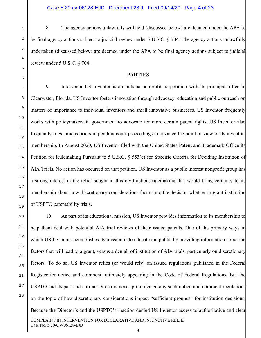8. The agency actions unlawfully withheld (discussed below) are deemed under the APA to be final agency actions subject to judicial review under 5 U.S.C. § 704. The agency actions unlawfully undertaken (discussed below) are deemed under the APA to be final agency actions subject to judicial review under 5 U.S.C. § 704.

#### **PARTIES**

9. Intervenor US Inventor is an Indiana nonprofit corporation with its principal office in Clearwater, Florida. US Inventor fosters innovation through advocacy, education and public outreach on matters of importance to individual inventors and small innovative businesses. US Inventor frequently works with policymakers in government to advocate for more certain patent rights. US Inventor also frequently files amicus briefs in pending court proceedings to advance the point of view of its inventormembership. In August 2020, US Inventor filed with the United States Patent and Trademark Office its Petition for Rulemaking Pursuant to 5 U.S.C. § 553(e) for Specific Criteria for Deciding Institution of AIA Trials. No action has occurred on that petition. US Inventor as a public interest nonprofit group has a strong interest in the relief sought in this civil action: rulemaking that would bring certainty to its membership about how discretionary considerations factor into the decision whether to grant institution of USPTO patentability trials.

COMPLAINT IN INTERVENTION FOR DECLARATIVE AND INJUNCTIVE RELIEF Case No. 5:20-CV-06128-EJD 10. As part of its educational mission, US Inventor provides information to its membership to help them deal with potential AIA trial reviews of their issued patents. One of the primary ways in which US Inventor accomplishes its mission is to educate the public by providing information about the factors that will lead to a grant, versus a denial, of institution of AIA trials, particularly on discretionary factors. To do so, US Inventor relies (or would rely) on issued regulations published in the Federal Register for notice and comment, ultimately appearing in the Code of Federal Regulations. But the USPTO and its past and current Directors never promulgated any such notice-and-comment regulations on the topic of how discretionary considerations impact "sufficient grounds" for institution decisions. Because the Director's and the USPTO's inaction denied US Inventor access to authoritative and clear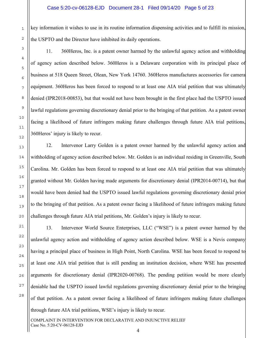key information it wishes to use in its routine information dispensing activities and to fulfill its mission, the USPTO and the Director have inhibited its daily operations.

11. 360Heros, Inc. is a patent owner harmed by the unlawful agency action and withholding of agency action described below. 360Heros is a Delaware corporation with its principal place of business at 518 Queen Street, Olean, New York 14760. 360Heros manufactures accessories for camera equipment. 360Heros has been forced to respond to at least one AIA trial petition that was ultimately denied (IPR2018-00853), but that would not have been brought in the first place had the USPTO issued lawful regulations governing discretionary denial prior to the bringing of that petition. As a patent owner facing a likelihood of future infringers making future challenges through future AIA trial petitions, 360Heros' injury is likely to recur.

12. Intervenor Larry Golden is a patent owner harmed by the unlawful agency action and withholding of agency action described below. Mr. Golden is an individual residing in Greenville, South Carolina. Mr. Golden has been forced to respond to at least one AIA trial petition that was ultimately granted without Mr. Golden having made arguments for discretionary denial (IPR2014-00714), but that would have been denied had the USPTO issued lawful regulations governing discretionary denial prior to the bringing of that petition. As a patent owner facing a likelihood of future infringers making future challenges through future AIA trial petitions, Mr. Golden's injury is likely to recur.

13. Intervenor World Source Enterprises, LLC ("WSE") is a patent owner harmed by the unlawful agency action and withholding of agency action described below. WSE is a Nevis company having a principal place of business in High Point, North Carolina. WSE has been forced to respond to at least one AIA trial petition that is still pending an institution decision, where WSE has presented arguments for discretionary denial (IPR2020-00768). The pending petition would be more clearly deniable had the USPTO issued lawful regulations governing discretionary denial prior to the bringing of that petition. As a patent owner facing a likelihood of future infringers making future challenges through future AIA trial petitions, WSE's injury is likely to recur.

4

COMPLAINT IN INTERVENTION FOR DECLARATIVE AND INJUNCTIVE RELIEF Case No. 5:20-CV-06128-EJD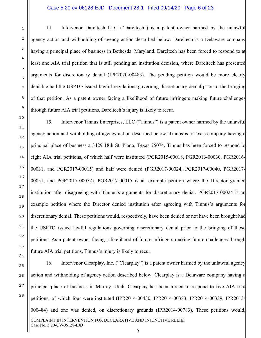14. Intervenor Dareltech LLC ("Dareltech") is a patent owner harmed by the unlawful agency action and withholding of agency action described below. Dareltech is a Delaware company having a principal place of business in Bethesda, Maryland. Dareltech has been forced to respond to at least one AIA trial petition that is still pending an institution decision, where Dareltech has presented arguments for discretionary denial (IPR2020-00483). The pending petition would be more clearly deniable had the USPTO issued lawful regulations governing discretionary denial prior to the bringing of that petition. As a patent owner facing a likelihood of future infringers making future challenges through future AIA trial petitions, Dareltech's injury is likely to recur.

15. Intervenor Tinnus Enterprises, LLC ("Tinnus") is a patent owner harmed by the unlawful agency action and withholding of agency action described below. Tinnus is a Texas company having a principal place of business a 3429 18th St, Plano, Texas 75074. Tinnus has been forced to respond to eight AIA trial petitions, of which half were instituted (PGR2015-00018, PGR2016-00030, PGR2016- 00031, and PGR2017-00015) and half were denied (PGR2017-00024, PGR2017-00040, PGR2017- 00051, and PGR2017-00052). PGR2017-00015 is an example petition where the Director granted institution after disagreeing with Tinnus's arguments for discretionary denial. PGR2017-00024 is an example petition where the Director denied institution after agreeing with Tinnus's arguments for discretionary denial. These petitions would, respectively, have been denied or not have been brought had the USPTO issued lawful regulations governing discretionary denial prior to the bringing of those petitions. As a patent owner facing a likelihood of future infringers making future challenges through future AIA trial petitions, Tinnus's injury is likely to recur.

COMPLAINT IN INTERVENTION FOR DECLARATIVE AND INJUNCTIVE RELIEF Case No. 5:20-CV-06128-EJD 16. Intervenor Clearplay, Inc. ("Clearplay") is a patent owner harmed by the unlawful agency action and withholding of agency action described below. Clearplay is a Delaware company having a principal place of business in Murray, Utah. Clearplay has been forced to respond to five AIA trial petitions, of which four were instituted (IPR2014-00430, IPR2014-00383, IPR2014-00339, IPR2013- 000484) and one was denied, on discretionary grounds (IPR2014-00783). These petitions would,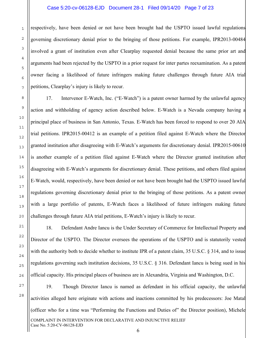respectively, have been denied or not have been brought had the USPTO issued lawful regulations governing discretionary denial prior to the bringing of those petitions. For example, IPR2013-00484 involved a grant of institution even after Clearplay requested denial because the same prior art and arguments had been rejected by the USPTO in a prior request for inter partes reexamination. As a patent owner facing a likelihood of future infringers making future challenges through future AIA trial petitions, Clearplay's injury is likely to recur.

17. Intervenor E-Watch, Inc. ("E-Watch") is a patent owner harmed by the unlawful agency action and withholding of agency action described below. E-Watch is a Nevada company having a principal place of business in San Antonio, Texas. E-Watch has been forced to respond to over 20 AIA trial petitions. IPR2015-00412 is an example of a petition filed against E-Watch where the Director granted institution after disagreeing with E-Watch's arguments for discretionary denial. IPR2015-00610 is another example of a petition filed against E-Watch where the Director granted institution after disagreeing with E-Watch's arguments for discretionary denial. These petitions, and others filed against E-Watch, would, respectively, have been denied or not have been brought had the USPTO issued lawful regulations governing discretionary denial prior to the bringing of those petitions. As a patent owner with a large portfolio of patents, E-Watch faces a likelihood of future infringers making future challenges through future AIA trial petitions, E-Watch's injury is likely to recur.

18. Defendant Andre Iancu is the Under Secretary of Commerce for Intellectual Property and Director of the USPTO. The Director oversees the operations of the USPTO and is statutorily vested with the authority both to decide whether to institute IPR of a patent claim, 35 U.S.C. § 314, and to issue regulations governing such institution decisions, 35 U.S.C. § 316. Defendant Iancu is being sued in his official capacity. His principal places of business are in Alexandria, Virginia and Washington, D.C.

COMPLAINT IN INTERVENTION FOR DECLARATIVE AND INJUNCTIVE RELIEF Case No. 5:20-CV-06128-EJD 19. Though Director Iancu is named as defendant in his official capacity, the unlawful activities alleged here originate with actions and inactions committed by his predecessors: Joe Matal (officer who for a time was "Performing the Functions and Duties of" the Director position), Michele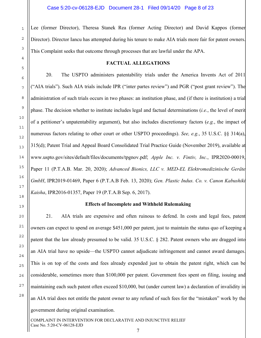Lee (former Director), Theresa Stanek Rea (former Acting Director) and David Kappos (former Director). Director Iancu has attempted during his tenure to make AIA trials more fair for patent owners. This Complaint seeks that outcome through processes that are lawful under the APA.

#### **FACTUAL ALLEGATIONS**

20. The USPTO administers patentability trials under the America Invents Act of 2011 ("AIA trials"). Such AIA trials include IPR ("inter partes review") and PGR ("post grant review"). The administration of such trials occurs in two phases: an institution phase, and (if there is institution) a trial phase. The decision whether to institute includes legal and factual determinations (*i.e.*, the level of merit of a petitioner's unpatentability argument), but also includes discretionary factors (*e.g.*, the impact of numerous factors relating to other court or other USPTO proceedings). *See, e.g.*, 35 U.S.C. §§ 314(a), 315(d); Patent Trial and Appeal Board Consolidated Trial Practice Guide (November 2019), available at www.uspto.gov/sites/default/files/documents/tpgnov.pdf; *Apple Inc. v. Fintiv, Inc.*, IPR2020-00019, Paper 11 (P.T.A.B. Mar. 20, 2020); *Advanced Bionics, LLC v. MED-EL Elektromedizinische Geräte GmbH*, IPR2019-01469, Paper 6 (P.T.A.B Feb. 13, 2020); *Gen. Plastic Indus. Co. v. Canon Kabushiki Kaisha*, IPR2016-01357, Paper 19 (P.T.A.B Sep. 6, 2017).

# **Effects of Incomplete and Withheld Rulemaking**

21. AIA trials are expensive and often ruinous to defend. In costs and legal fees, patent owners can expect to spend on average \$451,000 per patent, just to maintain the status quo of keeping a patent that the law already presumed to be valid. 35 U.S.C. § 282. Patent owners who are dragged into an AIA trial have no upside—the USPTO cannot adjudicate infringement and cannot award damages. This is on top of the costs and fees already expended just to obtain the patent right, which can be considerable, sometimes more than \$100,000 per patent. Government fees spent on filing, issuing and maintaining each such patent often exceed \$10,000, but (under current law) a declaration of invalidity in an AIA trial does not entitle the patent owner to any refund of such fees for the "mistaken" work by the government during original examination.

COMPLAINT IN INTERVENTION FOR DECLARATIVE AND INJUNCTIVE RELIEF Case No. 5:20-CV-06128-EJD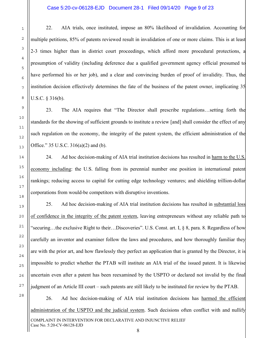22. AIA trials, once instituted, impose an 80% likelihood of invalidation. Accounting for multiple petitions, 85% of patents reviewed result in invalidation of one or more claims. This is at least 2-3 times higher than in district court proceedings, which afford more procedural protections, a presumption of validity (including deference due a qualified government agency official presumed to have performed his or her job), and a clear and convincing burden of proof of invalidity. Thus, the institution decision effectively determines the fate of the business of the patent owner, implicating 35 U.S.C. § 316(b).

23. The AIA requires that "The Director shall prescribe regulations…setting forth the standards for the showing of sufficient grounds to institute a review [and] shall consider the effect of any such regulation on the economy, the integrity of the patent system, the efficient administration of the Office." 35 U.S.C. 316(a)(2) and (b).

24. Ad hoc decision-making of AIA trial institution decisions has resulted in harm to the U.S. economy including: the U.S. falling from its perennial number one position in international patent rankings; reducing access to capital for cutting edge technology ventures; and shielding trillion-dollar corporations from would-be competitors with disruptive inventions.

25. Ad hoc decision-making of AIA trial institution decisions has resulted in substantial loss of confidence in the integrity of the patent system, leaving entrepreneurs without any reliable path to "securing…the exclusive Right to their…Discoveries". U.S. Const. art. I, § 8, para. 8. Regardless of how carefully an inventor and examiner follow the laws and procedures, and how thoroughly familiar they are with the prior art, and how flawlessly they perfect an application that is granted by the Director, it is impossible to predict whether the PTAB will institute an AIA trial of the issued patent. It is likewise uncertain even after a patent has been reexamined by the USPTO or declared not invalid by the final judgment of an Article III court – such patents are still likely to be instituted for review by the PTAB.

COMPLAINT IN INTERVENTION FOR DECLARATIVE AND INJUNCTIVE RELIEF Case No. 5:20-CV-06128-EJD 26. Ad hoc decision-making of AIA trial institution decisions has harmed the efficient administration of the USPTO and the judicial system. Such decisions often conflict with and nullify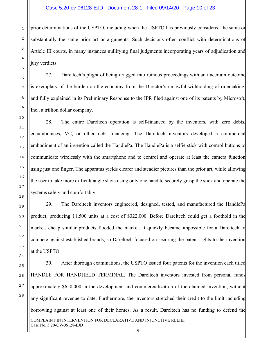prior determinations of the USPTO, including when the USPTO has previously considered the same or substantially the same prior art or arguments. Such decisions often conflict with determinations of Article III courts, in many instances nullifying final judgments incorporating years of adjudication and jury verdicts.

27. Dareltech's plight of being dragged into ruinous proceedings with an uncertain outcome is exemplary of the burden on the economy from the Director's unlawful withholding of rulemaking, and fully explained in its Preliminary Response to the IPR filed against one of its patents by Microsoft, Inc., a trillion dollar company.

28. The entire Dareltech operation is self-financed by the inventors, with zero debts, encumbrances, VC, or other debt financing. The Dareltech inventors developed a commercial embodiment of an invention called the HandlePa. The HandlePa is a selfie stick with control buttons to communicate wirelessly with the smartphone and to control and operate at least the camera function using just one finger. The apparatus yields clearer and steadier pictures than the prior art, while allowing the user to take more difficult angle shots using only one hand to securely grasp the stick and operate the systems safely and comfortably.

29. The Dareltech inventors engineered, designed, tested, and manufactured the HandlePa product, producing 11,500 units at a cost of \$322,000. Before Dareltech could get a foothold in the market, cheap similar products flooded the market. It quickly became impossible for a Dareltech to compete against established brands, so Dareltech focused on securing the patent rights to the invention at the USPTO.

COMPLAINT IN INTERVENTION FOR DECLARATIVE AND INJUNCTIVE RELIEF Case No. 5:20-CV-06128-EJD 30. After thorough examinations, the USPTO issued four patents for the invention each titled HANDLE FOR HANDHELD TERMINAL. The Dareltech inventors invested from personal funds approximately \$650,000 in the development and commercialization of the claimed invention, without any significant revenue to date. Furthermore, the inventors stretched their credit to the limit including borrowing against at least one of their homes. As a result, Dareltech has no funding to defend the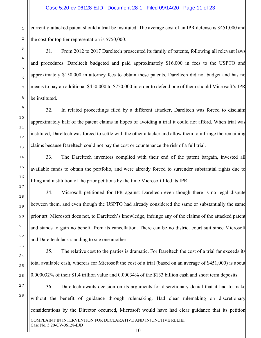currently-attacked patent should a trial be instituted. The average cost of an IPR defense is \$451,000 and the cost for top tier representation is \$750,000.

31. From 2012 to 2017 Dareltech prosecuted its family of patents, following all relevant laws and procedures. Dareltech budgeted and paid approximately \$16,000 in fees to the USPTO and approximately \$150,000 in attorney fees to obtain these patents. Dareltech did not budget and has no means to pay an additional \$450,000 to \$750,000 in order to defend one of them should Microsoft's IPR be instituted.

32. In related proceedings filed by a different attacker, Dareltech was forced to disclaim approximately half of the patent claims in hopes of avoiding a trial it could not afford. When trial was instituted, Dareltech was forced to settle with the other attacker and allow them to infringe the remaining claims because Dareltech could not pay the cost or countenance the risk of a full trial.

33. The Dareltech inventors complied with their end of the patent bargain, invested all available funds to obtain the portfolio, and were already forced to surrender substantial rights due to filing and institution of the prior petitions by the time Microsoft filed its IPR.

34. Microsoft petitioned for IPR against Dareltech even though there is no legal dispute between them, and even though the USPTO had already considered the same or substantially the same prior art. Microsoft does not, to Dareltech's knowledge, infringe any of the claims of the attacked patent and stands to gain no benefit from its cancellation. There can be no district court suit since Microsoft and Dareltech lack standing to sue one another.

35. The relative cost to the parties is dramatic. For Dareltech the cost of a trial far exceeds its total available cash, whereas for Microsoft the cost of a trial (based on an average of \$451,000) is about 0.000032% of their \$1.4 trillion value and 0.00034% of the \$133 billion cash and short term deposits.

COMPLAINT IN INTERVENTION FOR DECLARATIVE AND INJUNCTIVE RELIEF Case No. 5:20-CV-06128-EJD 36. Dareltech awaits decision on its arguments for discretionary denial that it had to make without the benefit of guidance through rulemaking. Had clear rulemaking on discretionary considerations by the Director occurred, Microsoft would have had clear guidance that its petition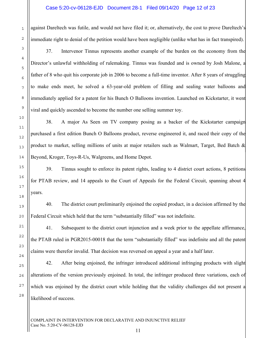1

2

3

4

5

6

7

8

9

10

11

12

13

14

15

16

17

18

19

20

21

22

23

24

25

26

27

28

against Dareltech was futile, and would not have filed it; or, alternatively, the cost to prove Dareltech's immediate right to denial of the petition would have been negligible (unlike what has in fact transpired).

37. Intervenor Tinnus represents another example of the burden on the economy from the Director's unlawful withholding of rulemaking. Tinnus was founded and is owned by Josh Malone, a father of 8 who quit his corporate job in 2006 to become a full-time inventor. After 8 years of struggling to make ends meet, he solved a 63-year-old problem of filling and sealing water balloons and immediately applied for a patent for his Bunch O Balloons invention. Launched on Kickstarter, it went viral and quickly ascended to become the number one selling summer toy.

38. A major As Seen on TV company posing as a backer of the Kickstarter campaign purchased a first edition Bunch O Balloons product, reverse engineered it, and raced their copy of the product to market, selling millions of units at major retailers such as Walmart, Target, Bed Batch  $\&$ Beyond, Kroger, Toys-R-Us, Walgreens, and Home Depot.

39. Tinnus sought to enforce its patent rights, leading to 4 district court actions, 8 petitions for PTAB review, and 14 appeals to the Court of Appeals for the Federal Circuit, spanning about 4 years.

40. The district court preliminarily enjoined the copied product, in a decision affirmed by the Federal Circuit which held that the term "substantially filled" was not indefinite.

41. Subsequent to the district court injunction and a week prior to the appellate affirmance, the PTAB ruled in PGR2015-00018 that the term "substantially filled" was indefinite and all the patent claims were therefor invalid. That decision was reversed on appeal a year and a half later.

42. After being enjoined, the infringer introduced additional infringing products with slight alterations of the version previously enjoined. In total, the infringer produced three variations, each of which was enjoined by the district court while holding that the validity challenges did not present a likelihood of success.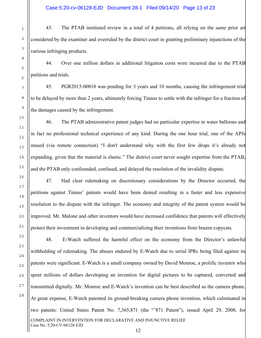43. The PTAB instituted review in a total of 4 petitions, all relying on the same prior art considered by the examiner and overruled by the district court in granting preliminary injunctions of the various infringing products.

44. Over one million dollars in additional litigation costs were incurred due to the PTAB petitions and trials.

45. PGR2015-00018 was pending for 3 years and 10 months, causing the infringement trial to be delayed by more than 2 years, ultimately forcing Tinnus to settle with the infringer for a fraction of the damages caused by the infringement.

46. The PTAB administrative patent judges had no particular expertise in water balloons and in fact no professional technical experience of any kind. During the one hour trial, one of the APJs mused (via remote connection) "I don't understand why with the first few drops it's already not expanding, given that the material is elastic." The district court never sought expertise from the PTAB, and the PTAB only confounded, confused, and delayed the resolution of the invalidity dispute.

47. Had clear rulemaking on discretionary considerations by the Director occurred, the petitions against Tinnus' patents would have been denied resulting in a faster and less expensive resolution to the dispute with the infringer. The economy and integrity of the patent system would be improved. Mr. Malone and other inventors would have increased confidence that patents will effectively protect their investment in developing and commercializing their inventions from brazen copycats.

COMPLAINT IN INTERVENTION FOR DECLARATIVE AND INJUNCTIVE RELIEF Case No. 5:20-CV-06128-EJD 48. E-Watch suffered the harmful effect on the economy from the Director's unlawful withholding of rulemaking. The abuses endured by E-Watch due to serial IPRs being filed against its patents were significant. E-Watch is a small company owned by David Monroe, a prolific inventor who spent millions of dollars developing an invention for digital pictures to be captured, converted and transmitted digitally. Mr. Monroe and E-Watch's invention can be best described as the camera phone. At great expense, E-Watch patented its ground-breaking camera phone invention, which culminated in two patents: United States Patent No. 7,365,871 (the "'871 Patent"), issued April 29, 2008, for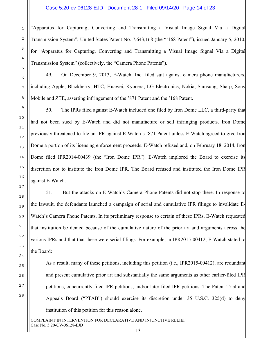#### Case 5:20-cv-06128-EJD Document 28-1 Filed 09/14/20 Page 14 of 23

"Apparatus for Capturing, Converting and Transmitting a Visual Image Signal Via a Digital Transmission System"; United States Patent No. 7,643,168 (the "'168 Patent"), issued January 5, 2010, for "Apparatus for Capturing, Converting and Transmitting a Visual Image Signal Via a Digital Transmission System" (collectively, the "Camera Phone Patents").

49. On December 9, 2013, E-Watch, Inc. filed suit against camera phone manufacturers, including Apple, Blackberry, HTC, Huawei, Kyocera, LG Electronics, Nokia, Samsung, Sharp, Sony Mobile and ZTE, asserting infringement of the '871 Patent and the '168 Patent.

50. The IPRs filed against E-Watch included one filed by Iron Dome LLC, a third-party that had not been sued by E-Watch and did not manufacture or sell infringing products. Iron Dome previously threatened to file an IPR against E-Watch's '871 Patent unless E-Watch agreed to give Iron Dome a portion of its licensing enforcement proceeds. E-Watch refused and, on February 18, 2014, Iron Dome filed IPR2014-00439 (the "Iron Dome IPR"). E-Watch implored the Board to exercise its discretion not to institute the Iron Dome IPR. The Board refused and instituted the Iron Dome IPR against E-Watch.

51. But the attacks on E-Watch's Camera Phone Patents did not stop there. In response to the lawsuit, the defendants launched a campaign of serial and cumulative IPR filings to invalidate E-Watch's Camera Phone Patents. In its preliminary response to certain of these IPRs, E-Watch requested that institution be denied because of the cumulative nature of the prior art and arguments across the various IPRs and that that these were serial filings. For example, in IPR2015-00412, E-Watch stated to the Board:

As a result, many of these petitions, including this petition (i.e., IPR2015-00412), are redundant and present cumulative prior art and substantially the same arguments as other earlier-filed IPR petitions, concurrently-filed IPR petitions, and/or later-filed IPR petitions. The Patent Trial and Appeals Board ("PTAB") should exercise its discretion under 35 U.S.C. 325(d) to deny institution of this petition for this reason alone.

COMPLAINT IN INTERVENTION FOR DECLARATIVE AND INJUNCTIVE RELIEF Case No. 5:20-CV-06128-EJD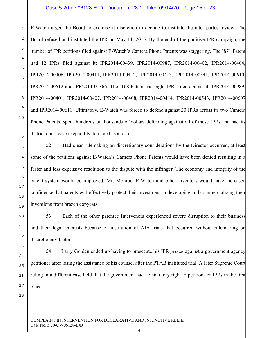#### Case 5:20-cv-06128-EJD Document 28-1 Filed 09/14/20 Page 15 of 23

E-Watch urged the Board to exercise it discretion to decline to institute the inter partes review. The Board refused and instituted the IPR on May 11, 2015. By the end of the punitive IPR campaign, the number of IPR petitions filed against E-Watch's Camera Phone Patents was staggering. The '871 Patent had 12 IPRs filed against it: IPR2014-00439, IPR2014-00987, IPR2014-00402, IPR2014-00404, IPR2014-00406, IPR2014-00411, IPR2014-00412, IPR2014-00413, IPR2014-00541, IPR2014-00610, IPR2014-00612 and IPR2014-01366. The '168 Patent had eight IPRs filed against it: IPR2014-00989, IPR2014-00401, IPR2014-00407, IPR2014-00408, IPR2014-00414, IPR2014-00543, IPR2014-00607 and IPR2014-00611. Ultimately, E-Watch was forced to defend against 20 IPRs across its two Camera Phone Patents, spent hundreds of thousands of dollars defending against all of these IPRs and had its district court case irreparably damaged as a result.

52. Had clear rulemaking on discretionary considerations by the Director occurred, at least some of the petitions against E-Watch's Camera Phone Patents would have been denied resulting in a faster and less expensive resolution to the dispute with the infringer. The economy and integrity of the patent system would be improved. Mr. Monroe, E-Watch and other inventors would have increased confidence that patents will effectively protect their investment in developing and commercializing their inventions from brazen copycats.

53. Each of the other patentee Intervenors experienced severe disruption to their business and their legal interests because of institution of AIA trials that occurred without rulemaking on discretionary factors.

54. Larry Golden ended up having to prosecute his IPR *pro se* against a government agency petitioner after losing the assistance of his counsel after the PTAB instituted trial. A later Supreme Court ruling in a different case held that the government had no statutory right to petition for IPRs in the first place.

28

1

2

3

4

5

6

7

8

9

10

11

12

13

14

15

16

17

18

19

20

21

22

23

24

25

26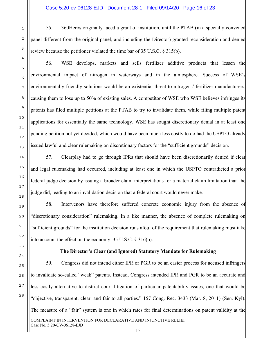55. 360Heros originally faced a grant of institution, until the PTAB (in a specially-convened panel different from the original panel, and including the Director) granted reconsideration and denied review because the petitioner violated the time bar of 35 U.S.C. § 315(b).

56. WSE develops, markets and sells fertilizer additive products that lessen the environmental impact of nitrogen in waterways and in the atmosphere. Success of WSE's environmentally friendly solutions would be an existential threat to nitrogen / fertilizer manufacturers, causing them to lose up to 50% of existing sales. A competitor of WSE who WSE believes infringes its patents has filed multiple petitions at the PTAB to try to invalidate them, while filing multiple patent applications for essentially the same technology. WSE has sought discretionary denial in at least one pending petition not yet decided, which would have been much less costly to do had the USPTO already issued lawful and clear rulemaking on discretionary factors for the "sufficient grounds" decision.

57. Clearplay had to go through IPRs that should have been discretionarily denied if clear and legal rulemaking had occurred, including at least one in which the USPTO contradicted a prior federal judge decision by issuing a broader claim interpretations for a material claim limitation than the judge did, leading to an invalidation decision that a federal court would never make.

58. Intervenors have therefore suffered concrete economic injury from the absence of "discretionary consideration" rulemaking. In a like manner, the absence of complete rulemaking on "sufficient grounds" for the institution decision runs afoul of the requirement that rulemaking must take into account the effect on the economy. 35 U.S.C. § 316(b).

## **The Director's Clear (and Ignored) Statutory Mandate for Rulemaking**

COMPLAINT IN INTERVENTION FOR DECLARATIVE AND INJUNCTIVE RELIEF Case No. 5:20-CV-06128-EJD 59. Congress did not intend either IPR or PGR to be an easier process for accused infringers to invalidate so-called "weak" patents. Instead, Congress intended IPR and PGR to be an accurate and less costly alternative to district court litigation of particular patentability issues, one that would be "objective, transparent, clear, and fair to all parties." 157 Cong. Rec. 3433 (Mar. 8, 2011) (Sen. Kyl). The measure of a "fair" system is one in which rates for final determinations on patent validity at the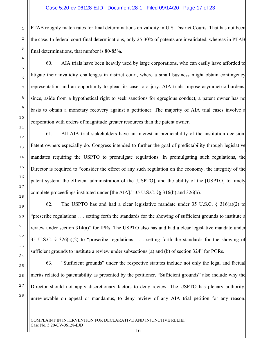PTAB roughly match rates for final determinations on validity in U.S. District Courts. That has not been the case. In federal court final determinations, only 25-30% of patents are invalidated, whereas in PTAB final determinations, that number is 80-85%.

60. AIA trials have been heavily used by large corporations, who can easily have afforded to litigate their invalidity challenges in district court, where a small business might obtain contingency representation and an opportunity to plead its case to a jury. AIA trials impose asymmetric burdens, since, aside from a hypothetical right to seek sanctions for egregious conduct, a patent owner has no basis to obtain a monetary recovery against a petitioner. The majority of AIA trial cases involve a corporation with orders of magnitude greater resources than the patent owner.

61. All AIA trial stakeholders have an interest in predictability of the institution decision. Patent owners especially do. Congress intended to further the goal of predictability through legislative mandates requiring the USPTO to promulgate regulations. In promulgating such regulations, the Director is required to "consider the effect of any such regulation on the economy, the integrity of the patent system, the efficient administration of the [USPTO], and the ability of the [USPTO] to timely complete proceedings instituted under [the AIA]." 35 U.S.C. §§ 316(b) and 326(b).

62. The USPTO has and had a clear legislative mandate under 35 U.S.C. § 316(a)(2) to "prescribe regulations . . . setting forth the standards for the showing of sufficient grounds to institute a review under section 314(a)" for IPRs. The USPTO also has and had a clear legislative mandate under 35 U.S.C. § 326(a)(2) to "prescribe regulations . . . setting forth the standards for the showing of sufficient grounds to institute a review under subsections (a) and (b) of section 324" for PGRs.

63. "Sufficient grounds" under the respective statutes include not only the legal and factual merits related to patentability as presented by the petitioner. "Sufficient grounds" also include why the Director should not apply discretionary factors to deny review. The USPTO has plenary authority, unreviewable on appeal or mandamus, to deny review of any AIA trial petition for any reason.

1

2

3

4

5

6

7

8

9

10

11

12

13

14

15

16

17

18

19

20

21

22

23

24

25

26

27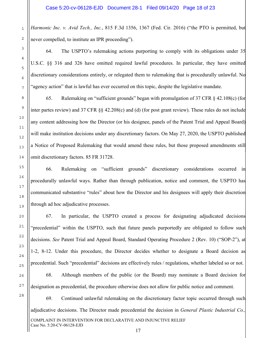*Harmonic Inc. v. Avid Tech., Inc.*, 815 F.3d 1356, 1367 (Fed. Cir. 2016) ("the PTO is permitted, but never compelled, to institute an IPR proceeding").

64. The USPTO's rulemaking actions purporting to comply with its obligations under 35 U.S.C. §§ 316 and 326 have omitted required lawful procedures. In particular, they have omitted discretionary considerations entirely, or relegated them to rulemaking that is procedurally unlawful. No "agency action" that is lawful has ever occurred on this topic, despite the legislative mandate.

65. Rulemaking on "sufficient grounds" began with promulgation of 37 CFR § 42.108(c) (for inter partes review) and 37 CFR §§ 42.208(c) and (d) (for post grant review). These rules do not include any content addressing how the Director (or his designee, panels of the Patent Trial and Appeal Board) will make institution decisions under any discretionary factors. On May 27, 2020, the USPTO published a Notice of Proposed Rulemaking that would amend these rules, but those proposed amendments still omit discretionary factors. 85 FR 31728.

66. Rulemaking on "sufficient grounds" discretionary considerations occurred in procedurally unlawful ways. Rather than through publication, notice and comment, the USPTO has communicated substantive "rules" about how the Director and his designees will apply their discretion through ad hoc adjudicative processes.

67. In particular, the USPTO created a process for designating adjudicated decisions "precedential" within the USPTO, such that future panels purportedly are obligated to follow such decisions. *See* Patent Trial and Appeal Board, Standard Operating Procedure 2 (Rev. 10) ("SOP-2"), at 1-2, 8-12. Under this procedure, the Director decides whether to designate a Board decision as precedential. Such "precedential" decisions are effectively rules / regulations, whether labeled so or not. 68. Although members of the public (or the Board) may nominate a Board decision for

designation as precedential, the procedure otherwise does not allow for public notice and comment.

COMPLAINT IN INTERVENTION FOR DECLARATIVE AND INJUNCTIVE RELIEF Case No. 5:20-CV-06128-EJD 69. Continued unlawful rulemaking on the discretionary factor topic occurred through such adjudicative decisions. The Director made precedential the decision in *General Plastic Industrial Co.,*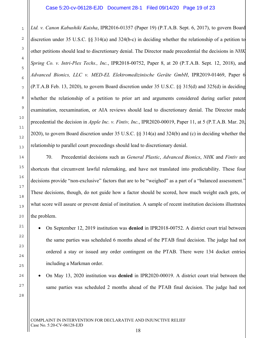1

2

3

4

5

6

7

8

9

10

11

12

13

14

15

16

17

18

19

20

21

22

23

24

25

26

27

28

*Ltd. v. Canon Kabushiki Kaisha*, IPR2016-01357 (Paper 19) (P.T.A.B. Sept. 6, 2017), to govern Board discretion under 35 U.S.C. §§ 314(a) and 324(b-c) in deciding whether the relationship of a petition to other petitions should lead to discretionary denial. The Director made precedential the decisions in *NHK Spring Co. v. Intri-Plex Techs., Inc.*, IPR2018-00752, Paper 8, at 20 (P.T.A.B. Sept. 12, 2018), and *Advanced Bionics, LLC v. MED-EL Elektromedizinische Geräte GmbH*, IPR2019-01469, Paper 6 (P.T.A.B Feb. 13, 2020), to govern Board discretion under 35 U.S.C. §§ 315(d) and 325(d) in deciding whether the relationship of a petition to prior art and arguments considered during earlier patent examination, reexamination, or AIA reviews should lead to discretionary denial. The Director made precedential the decision in *Apple Inc. v. Fintiv, Inc.*, IPR2020-00019, Paper 11, at 5 (P.T.A.B. Mar. 20, 2020), to govern Board discretion under 35 U.S.C. §§ 314(a) and 324(b) and (c) in deciding whether the relationship to parallel court proceedings should lead to discretionary denial.

70. Precedential decisions such as *General Plastic*, *Advanced Bionics*, *NHK* and *Fintiv* are shortcuts that circumvent lawful rulemaking, and have not translated into predictability. These four decisions provide "non-exclusive" factors that are to be "weighed" as a part of a "balanced assessment." These decisions, though, do not guide how a factor should be scored, how much weight each gets, or what score will assure or prevent denial of institution. A sample of recent institution decisions illustrates the problem.

- On September 12, 2019 institution was **denied** in IPR2018-00752. A district court trial between the same parties was scheduled 6 months ahead of the PTAB final decision. The judge had not ordered a stay or issued any order contingent on the PTAB. There were 134 docket entries including a Markman order.
- On May 13, 2020 institution was **denied** in IPR2020-00019. A district court trial between the same parties was scheduled 2 months ahead of the PTAB final decision. The judge had not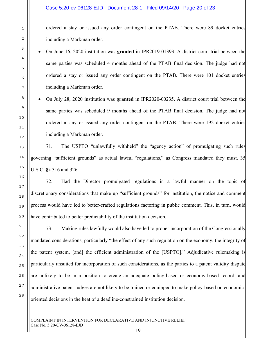ordered a stay or issued any order contingent on the PTAB. There were 89 docket entries including a Markman order.

- On June 16, 2020 institution was **granted** in IPR2019-01393. A district court trial between the same parties was scheduled 4 months ahead of the PTAB final decision. The judge had not ordered a stay or issued any order contingent on the PTAB. There were 101 docket entries including a Markman order.
- On July 28, 2020 institution was **granted** in IPR2020-00235. A district court trial between the same parties was scheduled 9 months ahead of the PTAB final decision. The judge had not ordered a stay or issued any order contingent on the PTAB. There were 192 docket entries including a Markman order.

71. The USPTO "unlawfully withheld" the "agency action" of promulgating such rules governing "sufficient grounds" as actual lawful "regulations," as Congress mandated they must. 35 U.S.C. §§ 316 and 326.

72. Had the Director promulgated regulations in a lawful manner on the topic of discretionary considerations that make up "sufficient grounds" for institution, the notice and comment process would have led to better-crafted regulations factoring in public comment. This, in turn, would have contributed to better predictability of the institution decision.

73. Making rules lawfully would also have led to proper incorporation of the Congressionally mandated considerations, particularly "the effect of any such regulation on the economy, the integrity of the patent system, [and] the efficient administration of the [USPTO]." Adjudicative rulemaking is particularly unsuited for incorporation of such considerations, as the parties to a patent validity dispute are unlikely to be in a position to create an adequate policy-based or economy-based record, and administrative patent judges are not likely to be trained or equipped to make policy-based on economicoriented decisions in the heat of a deadline-constrained institution decision.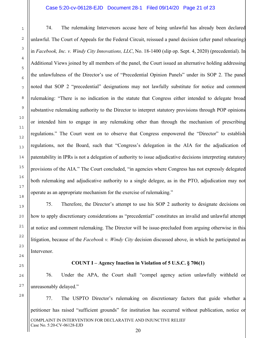#### Case 5:20-cv-06128-EJD Document 28-1 Filed 09/14/20 Page 21 of 23

74. The rulemaking Intervenors accuse here of being unlawful has already been declared unlawful. The Court of Appeals for the Federal Circuit, reissued a panel decision (after panel rehearing) in *Facebook, Inc. v. Windy City Innovations, LLC*, No. 18-1400 (slip op. Sept. 4, 2020) (precedential). In Additional Views joined by all members of the panel, the Court issued an alternative holding addressing the unlawfulness of the Director's use of "Precedential Opinion Panels" under its SOP 2. The panel noted that SOP 2 "precedential" designations may not lawfully substitute for notice and comment rulemaking: "There is no indication in the statute that Congress either intended to delegate broad substantive rulemaking authority to the Director to interpret statutory provisions through POP opinions or intended him to engage in any rulemaking other than through the mechanism of prescribing regulations." The Court went on to observe that Congress empowered the "Director" to establish regulations, not the Board, such that "Congress's delegation in the AIA for the adjudication of patentability in IPRs is not a delegation of authority to issue adjudicative decisions interpreting statutory provisions of the AIA." The Court concluded, "in agencies where Congress has not expressly delegated both rulemaking and adjudicative authority to a single delegee, as in the PTO, adjudication may not operate as an appropriate mechanism for the exercise of rulemaking."

75. Therefore, the Director's attempt to use his SOP 2 authority to designate decisions on how to apply discretionary considerations as "precedential" constitutes an invalid and unlawful attempt at notice and comment rulemaking. The Director will be issue-precluded from arguing otherwise in this litigation, because of the *Facebook v. Windy City* decision discussed above, in which he participated as Intervenor.

# 18 19 20 21 22 23 24 25 26 27 28

1

2

3

4

5

6

7

8

9

10

11

12

13

14

15

16

17

#### **COUNT I – Agency Inaction in Violation of 5 U.S.C. § 706(1)**

76. Under the APA, the Court shall "compel agency action unlawfully withheld or unreasonably delayed."

COMPLAINT IN INTERVENTION FOR DECLARATIVE AND INJUNCTIVE RELIEF Case No. 5:20-CV-06128-EJD 20 77. The USPTO Director's rulemaking on discretionary factors that guide whether a petitioner has raised "sufficient grounds" for institution has occurred without publication, notice or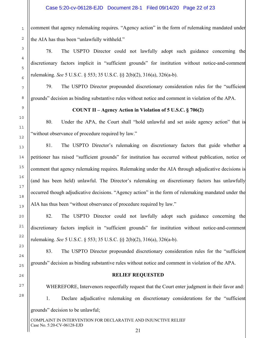comment that agency rulemaking requires. "Agency action" in the form of rulemaking mandated under the AIA has thus been "unlawfully withheld."

78. The USPTO Director could not lawfully adopt such guidance concerning the discretionary factors implicit in "sufficient grounds" for institution without notice-and-comment rulemaking. *See* 5 U.S.C. § 553; 35 U.S.C. §§ 2(b)(2), 316(a), 326(a-b).

79. The USPTO Director propounded discretionary consideration rules for the "sufficient grounds" decision as binding substantive rules without notice and comment in violation of the APA.

**COUNT II – Agency Action in Violation of 5 U.S.C. § 706(2)** 

80. Under the APA, the Court shall "hold unlawful and set aside agency action" that is "without observance of procedure required by law."

81. The USPTO Director's rulemaking on discretionary factors that guide whether a petitioner has raised "sufficient grounds" for institution has occurred without publication, notice or comment that agency rulemaking requires. Rulemaking under the AIA through adjudicative decisions is (and has been held) unlawful. The Director's rulemaking on discretionary factors has unlawfully occurred though adjudicative decisions. "Agency action" in the form of rulemaking mandated under the AIA has thus been "without observance of procedure required by law."

82. The USPTO Director could not lawfully adopt such guidance concerning the discretionary factors implicit in "sufficient grounds" for institution without notice-and-comment rulemaking. *See* 5 U.S.C. § 553; 35 U.S.C. §§ 2(b)(2), 316(a), 326(a-b).

83. The USPTO Director propounded discretionary consideration rules for the "sufficient grounds" decision as binding substantive rules without notice and comment in violation of the APA.

## **RELIEF REQUESTED**

WHEREFORE, Intervenors respectfully request that the Court enter judgment in their favor and: 1. Declare adjudicative rulemaking on discretionary considerations for the "sufficient grounds" decision to be unlawful;

COMPLAINT IN INTERVENTION FOR DECLARATIVE AND INJUNCTIVE RELIEF Case No. 5:20-CV-06128-EJD